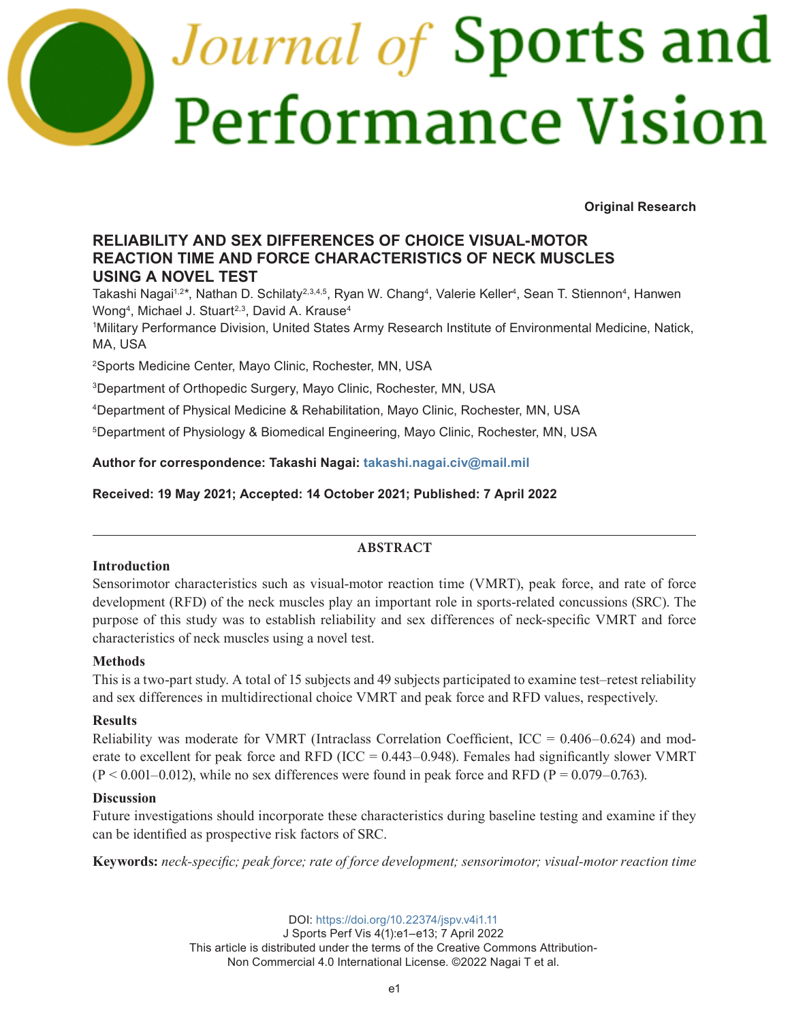# *Journal of* Sports and Performance Vision

**Original Research**

# **RELIABILITY AND SEX DIFFERENCES OF CHOICE VISUAL-MOTOR REACTION TIME AND FORCE CHARACTERISTICS OF NECK MUSCLES USING A NOVEL TEST**

Takashi Nagai1.2\*, Nathan D. Schilaty<sup>2,3,4,5</sup>, Ryan W. Chang<sup>4</sup>, Valerie Keller<sup>4</sup>, Sean T. Stiennon<sup>4</sup>, Hanwen Wong<sup>4</sup>, Michael J. Stuart<sup>2,3</sup>, David A. Krause<sup>4</sup>

1 Military Performance Division, United States Army Research Institute of Environmental Medicine, Natick, MA, USA

2 Sports Medicine Center, Mayo Clinic, Rochester, MN, USA

3Department of Orthopedic Surgery, Mayo Clinic, Rochester, MN, USA

4Department of Physical Medicine & Rehabilitation, Mayo Clinic, Rochester, MN, USA

5Department of Physiology & Biomedical Engineering, Mayo Clinic, Rochester, MN, USA

**Author for correspondence: Takashi Nagai: [takashi.nagai.civ@mail.mil](mailto:takashi.nagai.civ@mail.mil)**

**Received: 19 May 2021; Accepted: 14 October 2021; Published: 7 April 2022**

# **ABSTRACT**

# **Introduction**

Sensorimotor characteristics such as visual-motor reaction time (VMRT), peak force, and rate of force development (RFD) of the neck muscles play an important role in sports-related concussions (SRC). The purpose of this study was to establish reliability and sex differences of neck-specific VMRT and force characteristics of neck muscles using a novel test.

# **Methods**

This is a two-part study. A total of 15 subjects and 49 subjects participated to examine test–retest reliability and sex differences in multidirectional choice VMRT and peak force and RFD values, respectively.

# **Results**

Reliability was moderate for VMRT (Intraclass Correlation Coefficient,  $ICC = 0.406 - 0.624$ ) and moderate to excellent for peak force and RFD (ICC =  $0.443-0.948$ ). Females had significantly slower VMRT  $(P < 0.001 - 0.012)$ , while no sex differences were found in peak force and RFD (P = 0.079–0.763).

# **Discussion**

Future investigations should incorporate these characteristics during baseline testing and examine if they can be identified as prospective risk factors of SRC.

**Keywords:** *neck-specific; peak force; rate of force development; sensorimotor; visual-motor reaction time*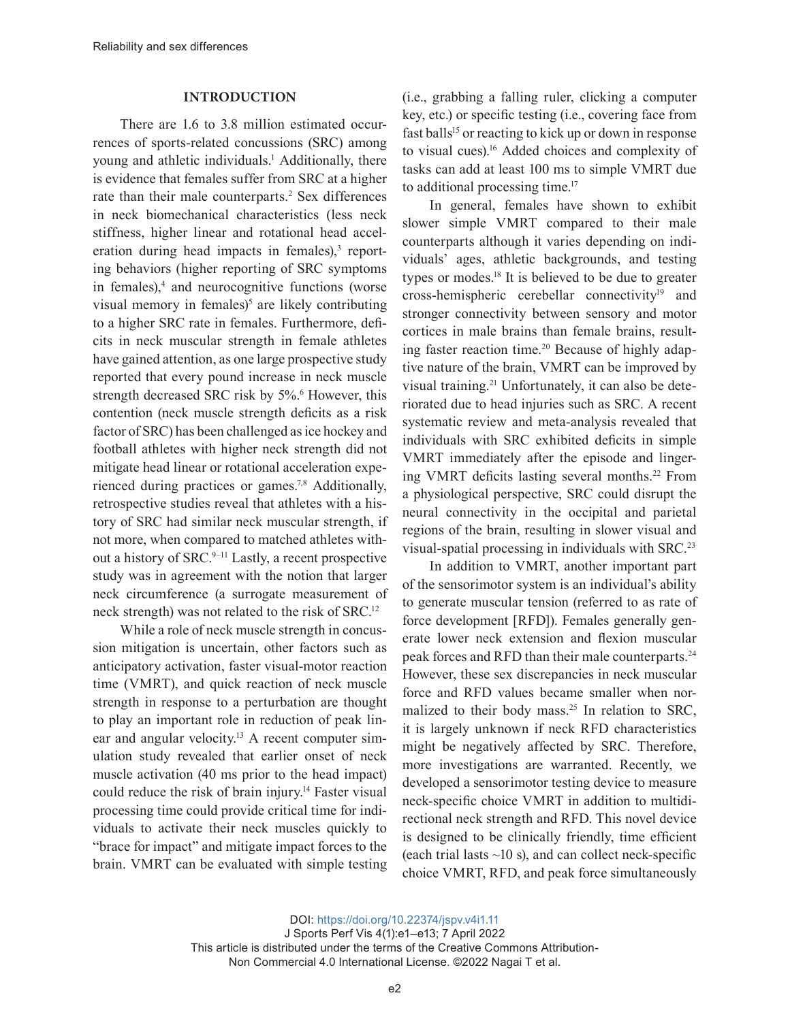#### **INTRODUCTION**

There are 1.6 to 3.8 million estimated occurrences of sports-related concussions (SRC) among young and athletic individuals.<sup>1</sup> Additionally, there is evidence that females suffer from SRC at a higher rate than their male counterparts.<sup>2</sup> Sex differences in neck biomechanical characteristics (less neck stiffness, higher linear and rotational head acceleration during head impacts in females),<sup>3</sup> reporting behaviors (higher reporting of SRC symptoms in females),<sup>4</sup> and neurocognitive functions (worse visual memory in females)<sup>5</sup> are likely contributing to a higher SRC rate in females. Furthermore, deficits in neck muscular strength in female athletes have gained attention, as one large prospective study reported that every pound increase in neck muscle strength decreased SRC risk by 5%.<sup>6</sup> However, this contention (neck muscle strength deficits as a risk factor of SRC) has been challenged as ice hockey and football athletes with higher neck strength did not mitigate head linear or rotational acceleration experienced during practices or games.7,8 Additionally, retrospective studies reveal that athletes with a history of SRC had similar neck muscular strength, if not more, when compared to matched athletes without a history of SRC.<sup>9-11</sup> Lastly, a recent prospective study was in agreement with the notion that larger neck circumference (a surrogate measurement of neck strength) was not related to the risk of SRC.<sup>12</sup>

While a role of neck muscle strength in concussion mitigation is uncertain, other factors such as anticipatory activation, faster visual-motor reaction time (VMRT), and quick reaction of neck muscle strength in response to a perturbation are thought to play an important role in reduction of peak linear and angular velocity.<sup>13</sup> A recent computer simulation study revealed that earlier onset of neck muscle activation (40 ms prior to the head impact) could reduce the risk of brain injury.14 Faster visual processing time could provide critical time for individuals to activate their neck muscles quickly to "brace for impact" and mitigate impact forces to the brain. VMRT can be evaluated with simple testing (i.e., grabbing a falling ruler, clicking a computer key, etc.) or specific testing (i.e., covering face from fast balls<sup>15</sup> or reacting to kick up or down in response to visual cues).<sup>16</sup> Added choices and complexity of tasks can add at least 100 ms to simple VMRT due to additional processing time.<sup>17</sup>

In general, females have shown to exhibit slower simple VMRT compared to their male counterparts although it varies depending on individuals' ages, athletic backgrounds, and testing types or modes.<sup>18</sup> It is believed to be due to greater cross-hemispheric cerebellar connectivity<sup>19</sup> and stronger connectivity between sensory and motor cortices in male brains than female brains, resulting faster reaction time.20 Because of highly adaptive nature of the brain, VMRT can be improved by visual training.21 Unfortunately, it can also be deteriorated due to head injuries such as SRC. A recent systematic review and meta-analysis revealed that individuals with SRC exhibited deficits in simple VMRT immediately after the episode and lingering VMRT deficits lasting several months.22 From a physiological perspective, SRC could disrupt the neural connectivity in the occipital and parietal regions of the brain, resulting in slower visual and visual-spatial processing in individuals with SRC.<sup>23</sup>

In addition to VMRT, another important part of the sensorimotor system is an individual's ability to generate muscular tension (referred to as rate of force development [RFD]). Females generally generate lower neck extension and flexion muscular peak forces and RFD than their male counterparts.<sup>24</sup> However, these sex discrepancies in neck muscular force and RFD values became smaller when normalized to their body mass.<sup>25</sup> In relation to SRC, it is largely unknown if neck RFD characteristics might be negatively affected by SRC. Therefore, more investigations are warranted. Recently, we developed a sensorimotor testing device to measure neck-specific choice VMRT in addition to multidirectional neck strength and RFD. This novel device is designed to be clinically friendly, time efficient (each trial lasts  $\sim$ 10 s), and can collect neck-specific choice VMRT, RFD, and peak force simultaneously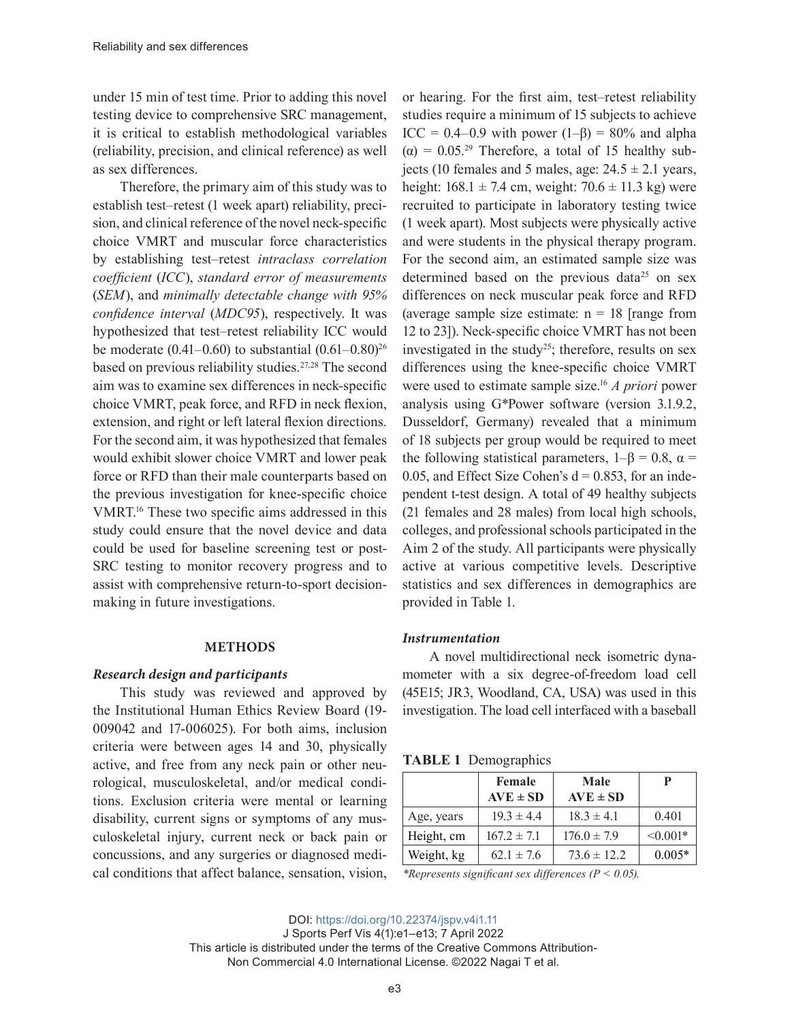under 15 min of test time. Prior to adding this novel testing device to comprehensive SRC management, it is critical to establish methodological variables (reliability, precision, and clinical reference) as well as sex differences.

Therefore, the primary aim of this study was to establish test–retest (1 week apart) reliability, precision, and clinical reference of the novel neck-specific choice VMRT and muscular force characteristics by establishing test–retest *intraclass correlation coefficient* (*ICC*), *standard error of measurements* (*SEM*), and *minimally detectable change with 95% confidence interval* (*MDC95*), respectively. It was hypothesized that test–retest reliability ICC would be moderate  $(0.41-0.60)$  to substantial  $(0.61-0.80)^{26}$ based on previous reliability studies.<sup>27,28</sup> The second aim was to examine sex differences in neck-specific choice VMRT, peak force, and RFD in neck flexion, extension, and right or left lateral flexion directions. For the second aim, it was hypothesized that females would exhibit slower choice VMRT and lower peak force or RFD than their male counterparts based on the previous investigation for knee-specific choice VMRT.16 These two specific aims addressed in this study could ensure that the novel device and data could be used for baseline screening test or post-SRC testing to monitor recovery progress and to assist with comprehensive return-to-sport decisionmaking in future investigations.

#### **METHODS**

#### *Research design and participants*

This study was reviewed and approved by the Institutional Human Ethics Review Board (19- 009042 and 17-006025). For both aims, inclusion criteria were between ages 14 and 30, physically active, and free from any neck pain or other neurological, musculoskeletal, and/or medical conditions. Exclusion criteria were mental or learning disability, current signs or symptoms of any musculoskeletal injury, current neck or back pain or concussions, and any surgeries or diagnosed medical conditions that affect balance, sensation, vision,

or hearing. For the first aim, test–retest reliability studies require a minimum of 15 subjects to achieve ICC =  $0.4-0.9$  with power  $(1-\beta) = 80\%$  and alpha  $(\alpha) = 0.05^{29}$  Therefore, a total of 15 healthy subjects (10 females and 5 males, age:  $24.5 \pm 2.1$  years, height:  $168.1 \pm 7.4$  cm, weight:  $70.6 \pm 11.3$  kg) were recruited to participate in laboratory testing twice (1 week apart). Most subjects were physically active and were students in the physical therapy program. For the second aim, an estimated sample size was determined based on the previous data<sup>25</sup> on sex differences on neck muscular peak force and RFD (average sample size estimate:  $n = 18$  [range from 12 to 23]). Neck-specific choice VMRT has not been investigated in the study<sup>25</sup>; therefore, results on sex differences using the knee-specific choice VMRT were used to estimate sample size.<sup>16</sup> *A priori* power analysis using G\*Power software (version 3.1.9.2, Dusseldorf, Germany) revealed that a minimum of 18 subjects per group would be required to meet the following statistical parameters,  $1-\beta = 0.8$ ,  $\alpha =$ 0.05, and Effect Size Cohen's  $d = 0.853$ , for an independent t-test design. A total of 49 healthy subjects (21 females and 28 males) from local high schools, colleges, and professional schools participated in the Aim 2 of the study. All participants were physically active at various competitive levels. Descriptive statistics and sex differences in demographics are provided in Table 1.

#### *Instrumentation*

A novel multidirectional neck isometric dynamometer with a six degree-of-freedom load cell (45E15; JR3, Woodland, CA, USA) was used in this investigation. The load cell interfaced with a baseball

| <b>TABLE 1</b> Demographics |
|-----------------------------|

|            | Female<br>$AVE \pm SD$ | Male<br>$AVE \pm SD$ |               |
|------------|------------------------|----------------------|---------------|
| Age, years | $19.3 \pm 4.4$         | $18.3 \pm 4.1$       | 0.401         |
| Height, cm | $167.2 \pm 7.1$        | $176.0 \pm 7.9$      | $\leq 0.001*$ |
| Weight, kg | $62.1 \pm 7.6$         | $73.6 \pm 12.2$      | $0.005*$      |

*\*Represents significant sex differences (P < 0.05).*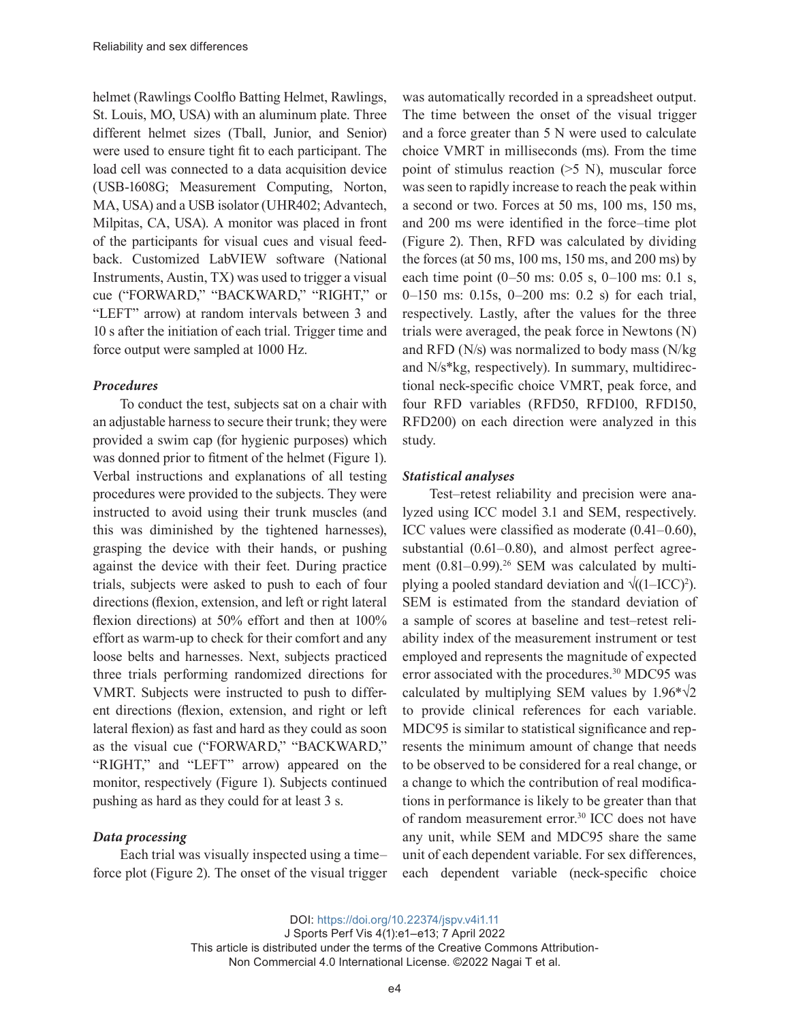helmet (Rawlings Coolflo Batting Helmet, Rawlings, St. Louis, MO, USA) with an aluminum plate. Three different helmet sizes (Tball, Junior, and Senior) were used to ensure tight fit to each participant. The load cell was connected to a data acquisition device (USB-1608G; Measurement Computing, Norton, MA, USA) and a USB isolator (UHR402; Advantech, Milpitas, CA, USA). A monitor was placed in front of the participants for visual cues and visual feedback. Customized LabVIEW software (National Instruments, Austin, TX) was used to trigger a visual cue ("FORWARD," "BACKWARD," "RIGHT," or "LEFT" arrow) at random intervals between 3 and 10 s after the initiation of each trial. Trigger time and force output were sampled at 1000 Hz.

#### *Procedures*

To conduct the test, subjects sat on a chair with an adjustable harness to secure their trunk; they were provided a swim cap (for hygienic purposes) which was donned prior to fitment of the helmet (Figure 1). Verbal instructions and explanations of all testing procedures were provided to the subjects. They were instructed to avoid using their trunk muscles (and this was diminished by the tightened harnesses), grasping the device with their hands, or pushing against the device with their feet. During practice trials, subjects were asked to push to each of four directions (flexion, extension, and left or right lateral flexion directions) at 50% effort and then at 100% effort as warm-up to check for their comfort and any loose belts and harnesses. Next, subjects practiced three trials performing randomized directions for VMRT. Subjects were instructed to push to different directions (flexion, extension, and right or left lateral flexion) as fast and hard as they could as soon as the visual cue ("FORWARD," "BACKWARD," "RIGHT," and "LEFT" arrow) appeared on the monitor, respectively (Figure 1). Subjects continued pushing as hard as they could for at least 3 s.

#### *Data processing*

Each trial was visually inspected using a time– force plot (Figure 2). The onset of the visual trigger

was automatically recorded in a spreadsheet output. The time between the onset of the visual trigger and a force greater than 5 N were used to calculate choice VMRT in milliseconds (ms). From the time point of stimulus reaction  $(5 N)$ , muscular force was seen to rapidly increase to reach the peak within a second or two. Forces at 50 ms, 100 ms, 150 ms, and 200 ms were identified in the force–time plot (Figure 2). Then, RFD was calculated by dividing the forces (at 50 ms, 100 ms, 150 ms, and 200 ms) by each time point (0–50 ms: 0.05 s, 0–100 ms: 0.1 s, 0–150 ms: 0.15s, 0–200 ms: 0.2 s) for each trial, respectively. Lastly, after the values for the three trials were averaged, the peak force in Newtons (N) and RFD (N/s) was normalized to body mass (N/kg and N/s\*kg, respectively). In summary, multidirectional neck-specific choice VMRT, peak force, and four RFD variables (RFD50, RFD100, RFD150, RFD200) on each direction were analyzed in this study.

## *Statistical analyses*

Test–retest reliability and precision were analyzed using ICC model 3.1 and SEM, respectively. ICC values were classified as moderate (0.41–0.60), substantial (0.61–0.80), and almost perfect agreement  $(0.81-0.99)$ .<sup>26</sup> SEM was calculated by multiplying a pooled standard deviation and  $\sqrt{(1-ICC)^2}$ . SEM is estimated from the standard deviation of a sample of scores at baseline and test–retest reliability index of the measurement instrument or test employed and represents the magnitude of expected error associated with the procedures.<sup>30</sup> MDC95 was calculated by multiplying SEM values by  $1.96*\sqrt{2}$ to provide clinical references for each variable. MDC95 is similar to statistical significance and represents the minimum amount of change that needs to be observed to be considered for a real change, or a change to which the contribution of real modifications in performance is likely to be greater than that of random measurement error.<sup>30</sup> ICC does not have any unit, while SEM and MDC95 share the same unit of each dependent variable. For sex differences, each dependent variable (neck-specific choice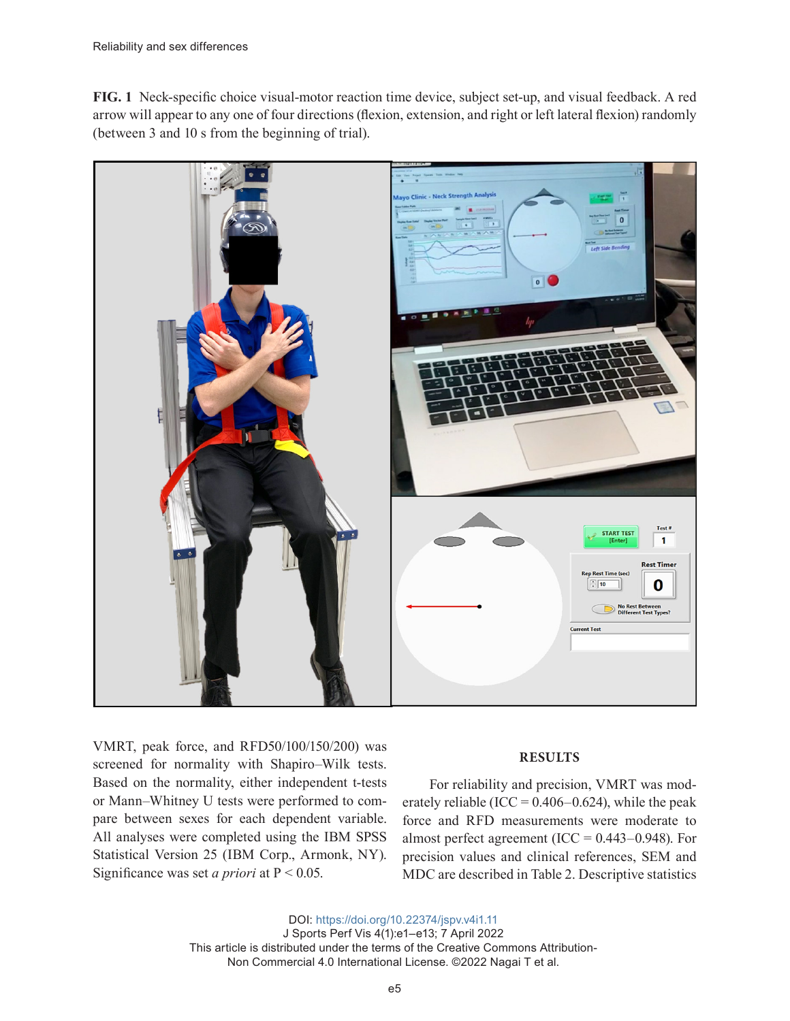**FIG. 1** Neck-specific choice visual-motor reaction time device, subject set-up, and visual feedback. A red arrow will appear to any one of four directions (flexion, extension, and right or left lateral flexion) randomly (between 3 and 10 s from the beginning of trial).



VMRT, peak force, and RFD50/100/150/200) was screened for normality with Shapiro–Wilk tests. Based on the normality, either independent t-tests or Mann–Whitney U tests were performed to compare between sexes for each dependent variable. All analyses were completed using the IBM SPSS Statistical Version 25 (IBM Corp., Armonk, NY). Significance was set *a priori* at P < 0.05.

#### **RESULTS**

For reliability and precision, VMRT was moderately reliable (ICC =  $0.406 - 0.624$ ), while the peak force and RFD measurements were moderate to almost perfect agreement (ICC =  $0.443 - 0.948$ ). For precision values and clinical references, SEM and MDC are described in Table 2. Descriptive statistics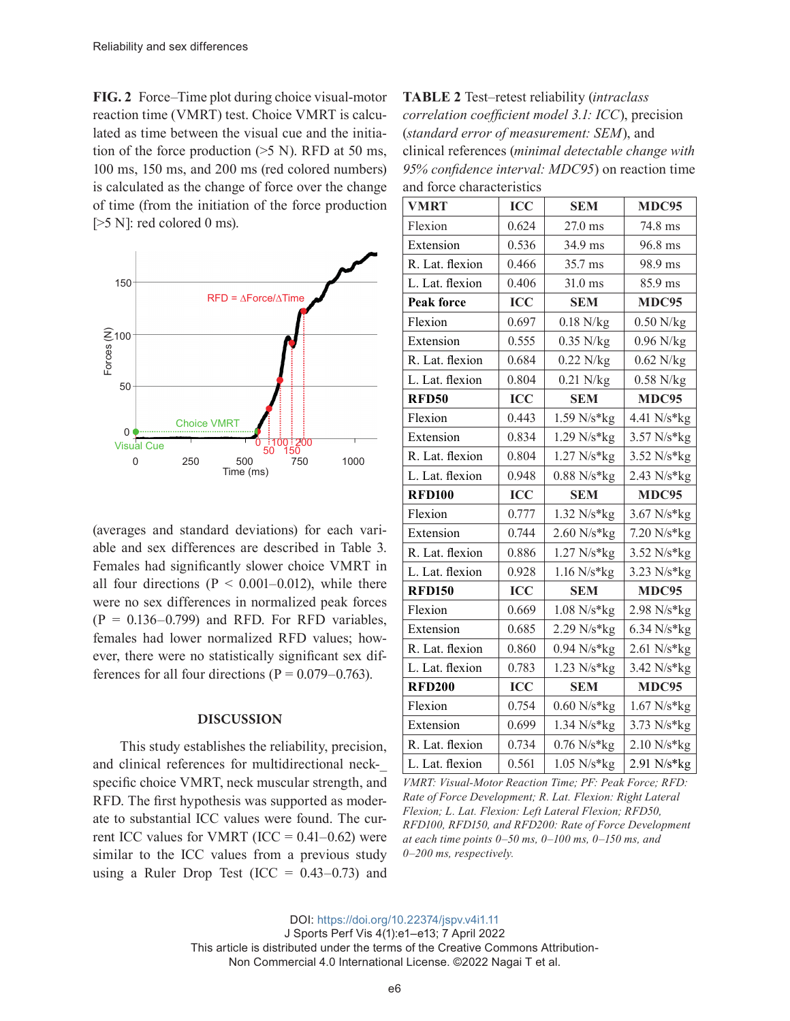**FIG. 2** Force–Time plot during choice visual-motor reaction time (VMRT) test. Choice VMRT is calculated as time between the visual cue and the initiation of the force production  $(5 \text{ N})$ . RFD at 50 ms, 100 ms, 150 ms, and 200 ms (red colored numbers) is calculated as the change of force over the change of time (from the initiation of the force production  $[>5$  N]: red colored 0 ms).



(averages and standard deviations) for each variable and sex differences are described in Table 3. Females had significantly slower choice VMRT in all four directions ( $P < 0.001 - 0.012$ ), while there were no sex differences in normalized peak forces  $(P = 0.136 - 0.799)$  and RFD. For RFD variables, females had lower normalized RFD values; however, there were no statistically significant sex differences for all four directions ( $P = 0.079 - 0.763$ ).

#### **DISCUSSION**

This study establishes the reliability, precision, and clinical references for multidirectional neckspecific choice VMRT, neck muscular strength, and RFD. The first hypothesis was supported as moderate to substantial ICC values were found. The current ICC values for VMRT (ICC =  $0.41 - 0.62$ ) were similar to the ICC values from a previous study using a Ruler Drop Test (ICC =  $0.43-0.73$ ) and

**TABLE 2** Test–retest reliability (*intraclass correlation coefficient model 3.1: ICC*), precision (*standard error of measurement: SEM*), and clinical references (*minimal detectable change with 95% confidence interval: MDC95*) on reaction time and force characteristics

| <b>VMRT</b>       | <b>ICC</b> | <b>SEM</b>            | MDC95         |
|-------------------|------------|-----------------------|---------------|
| Flexion           | 0.624      | 27.0 ms               | 74.8 ms       |
| Extension         | 0.536      | 34.9 ms               | 96.8 ms       |
| R. Lat. flexion   | 0.466      | 35.7 ms               | 98.9 ms       |
| L. Lat. flexion   | 0.406      | 31.0 ms               | 85.9 ms       |
| <b>Peak force</b> | ICC        | <b>SEM</b>            | MDC95         |
| Flexion           | 0.697      | $0.18$ N/kg           | $0.50$ N/kg   |
| Extension         | 0.555      | $0.35$ N/kg           | $0.96$ N/kg   |
| R. Lat. flexion   | 0.684      | $0.22$ N/kg           | $0.62$ N/kg   |
| L. Lat. flexion   | 0.804      | $0.21$ N/kg           | $0.58$ N/kg   |
| <b>RFD50</b>      | <b>ICC</b> | <b>SEM</b>            | MDC95         |
| Flexion           | 0.443      | 1.59 N/s*kg           | 4.41 N/s*kg   |
| Extension         | 0.834      | $1.29 N/s*kg$         | $3.57 N/s*kg$ |
| R. Lat. flexion   | 0.804      | $1.27 N/s*kg$         | 3.52 N/s*kg   |
| L. Lat. flexion   | 0.948      | $0.88 N/s*kg$         | 2.43 N/s*kg   |
| <b>RFD100</b>     | <b>ICC</b> | <b>SEM</b>            | MDC95         |
| Flexion           | 0.777      | 1.32 N/s*kg           | 3.67 N/s*kg   |
| Extension         | 0.744      | $2.60 N/s*kg$         | $7.20 N/s*kg$ |
| R. Lat. flexion   | 0.886      | 1.27 N/s*kg           | 3.52 N/s*kg   |
| L. Lat. flexion   | 0.928      | $1.16 N/s*kg$         | 3.23 N/s*kg   |
| <b>RFD150</b>     | <b>ICC</b> | <b>SEM</b>            | MDC95         |
| Flexion           | 0.669      | $1.08 N/s*kg$         | 2.98 N/s*kg   |
| Extension         | 0.685      | $2.29 N/s*kg$         | $6.34 N/s*kg$ |
| R. Lat. flexion   | 0.860      | $0.94 N/s*kg$         | $2.61$ N/s*kg |
| L. Lat. flexion   | 0.783      | $1.23 N/s*kg$         | $3.42 N/s*kg$ |
| <b>RFD200</b>     | <b>ICC</b> | <b>SEM</b>            | MDC95         |
| Flexion           | 0.754      | $0.60 \text{ N/s*kg}$ | 1.67 N/s*kg   |
| Extension         | 0.699      | $1.34 N/s*kg$         | $3.73 N/s*kg$ |
|                   |            |                       |               |
| R. Lat. flexion   | 0.734      | $0.76 N/s*kg$         | $2.10 N/s*kg$ |

*VMRT: Visual-Motor Reaction Time; PF: Peak Force; RFD: Rate of Force Development; R. Lat. Flexion: Right Lateral Flexion; L. Lat. Flexion: Left Lateral Flexion; RFD50, RFD100, RFD150, and RFD200: Rate of Force Development at each time points 0–50 ms, 0–100 ms, 0–150 ms, and 0–200 ms, respectively.*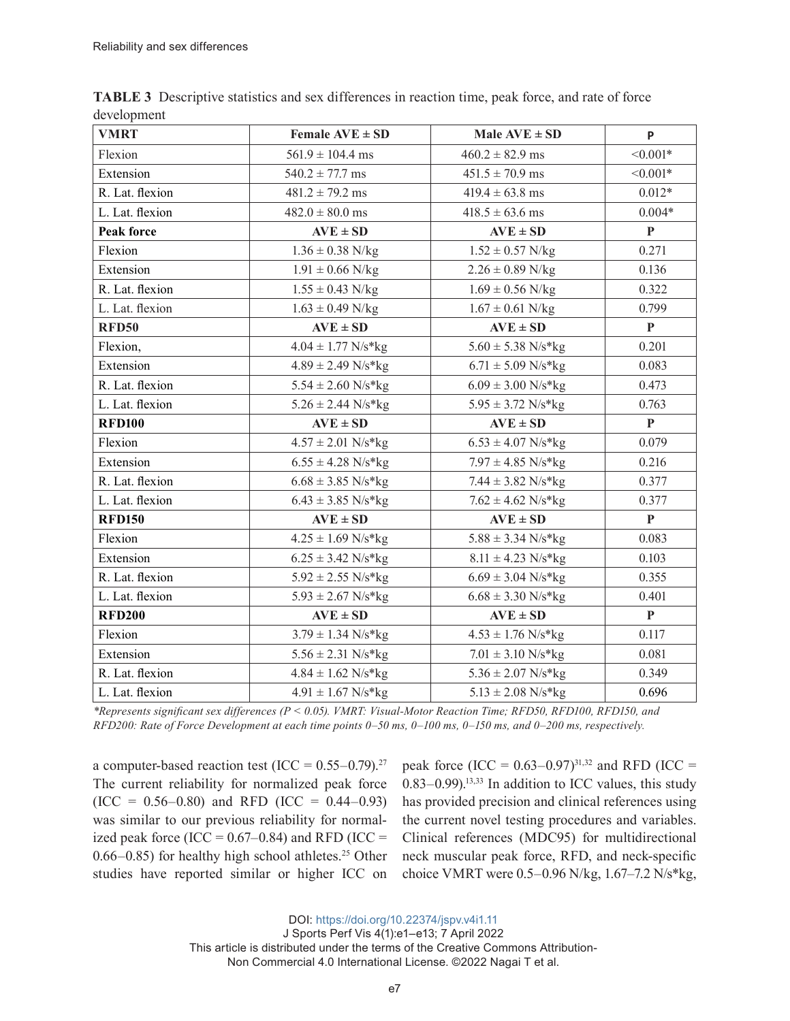| <b>VMRT</b>       | Female $AVE \pm SD$    | Male $AVE \pm SD$      | P            |
|-------------------|------------------------|------------------------|--------------|
| Flexion           | $561.9 \pm 104.4$ ms   | $460.2 \pm 82.9$ ms    | $< 0.001*$   |
| Extension         | $540.2 \pm 77.7$ ms    | $451.5 \pm 70.9$ ms    | $< 0.001*$   |
| R. Lat. flexion   | $481.2 \pm 79.2$ ms    | $419.4 \pm 63.8$ ms    | $0.012*$     |
| L. Lat. flexion   | $482.0 \pm 80.0$ ms    | $418.5 \pm 63.6$ ms    | $0.004*$     |
| <b>Peak force</b> | $AVE \pm SD$           | $AVE \pm SD$           | $\mathbf{P}$ |
| Flexion           | $1.36 \pm 0.38$ N/kg   | $1.52 \pm 0.57$ N/kg   | 0.271        |
| Extension         | $1.91 \pm 0.66$ N/kg   | $2.26 \pm 0.89$ N/kg   | 0.136        |
| R. Lat. flexion   | $1.55 \pm 0.43$ N/kg   | $1.69 \pm 0.56$ N/kg   | 0.322        |
| L. Lat. flexion   | $1.63 \pm 0.49$ N/kg   | $1.67 \pm 0.61$ N/kg   | 0.799        |
| <b>RFD50</b>      | $AVE \pm SD$           | $AVE \pm SD$           | $\mathbf{P}$ |
| Flexion,          | $4.04 \pm 1.77$ N/s*kg | $5.60 \pm 5.38$ N/s*kg | 0.201        |
| Extension         | $4.89 \pm 2.49$ N/s*kg | $6.71 \pm 5.09$ N/s*kg | 0.083        |
| R. Lat. flexion   | $5.54 \pm 2.60$ N/s*kg | $6.09 \pm 3.00$ N/s*kg | 0.473        |
| L. Lat. flexion   | $5.26 \pm 2.44$ N/s*kg | $5.95 \pm 3.72$ N/s*kg | 0.763        |
| <b>RFD100</b>     | $AVE \pm SD$           | $AVE \pm SD$           | $\mathbf{P}$ |
| Flexion           | $4.57 \pm 2.01$ N/s*kg | $6.53 \pm 4.07$ N/s*kg | 0.079        |
| Extension         | $6.55 \pm 4.28$ N/s*kg | $7.97 \pm 4.85$ N/s*kg | 0.216        |
| R. Lat. flexion   | $6.68 \pm 3.85$ N/s*kg | $7.44 \pm 3.82$ N/s*kg | 0.377        |
| L. Lat. flexion   | $6.43 \pm 3.85$ N/s*kg | $7.62 \pm 4.62$ N/s*kg | 0.377        |
| <b>RFD150</b>     | $AVE \pm SD$           | $AVE \pm SD$           | $\mathbf{P}$ |
| Flexion           | $4.25 \pm 1.69$ N/s*kg | $5.88 \pm 3.34$ N/s*kg | 0.083        |
| Extension         | $6.25 \pm 3.42$ N/s*kg | $8.11 \pm 4.23$ N/s*kg | 0.103        |
| R. Lat. flexion   | $5.92 \pm 2.55$ N/s*kg | $6.69 \pm 3.04$ N/s*kg | 0.355        |
| L. Lat. flexion   | $5.93 \pm 2.67$ N/s*kg | $6.68 \pm 3.30$ N/s*kg | 0.401        |
| <b>RFD200</b>     | $AVE \pm SD$           | $AVE \pm SD$           | P            |
| Flexion           | $3.79 \pm 1.34$ N/s*kg | $4.53 \pm 1.76$ N/s*kg | 0.117        |
| Extension         | $5.56 \pm 2.31$ N/s*kg | $7.01 \pm 3.10$ N/s*kg | 0.081        |
| R. Lat. flexion   | $4.84 \pm 1.62$ N/s*kg | $5.36 \pm 2.07$ N/s*kg | 0.349        |
| L. Lat. flexion   | $4.91 \pm 1.67$ N/s*kg | $5.13 \pm 2.08$ N/s*kg | 0.696        |

**TABLE 3** Descriptive statistics and sex differences in reaction time, peak force, and rate of force development

*\*Represents significant sex differences (P < 0.05). VMRT: Visual-Motor Reaction Time; RFD50, RFD100, RFD150, and RFD200: Rate of Force Development at each time points 0–50 ms, 0–100 ms, 0–150 ms, and 0–200 ms, respectively.*

a computer-based reaction test (ICC =  $0.55-0.79$ ).<sup>27</sup> The current reliability for normalized peak force  $(ICC = 0.56-0.80)$  and RFD  $(ICC = 0.44-0.93)$ was similar to our previous reliability for normalized peak force (ICC =  $0.67-0.84$ ) and RFD (ICC =  $0.66-0.85$ ) for healthy high school athletes.<sup>25</sup> Other studies have reported similar or higher ICC on

peak force  $(ICC = 0.63-0.97)^{31,32}$  and RFD  $(ICC =$  $0.83-0.99$ .<sup>13,33</sup> In addition to ICC values, this study has provided precision and clinical references using the current novel testing procedures and variables. Clinical references (MDC95) for multidirectional neck muscular peak force, RFD, and neck-specific choice VMRT were 0.5–0.96 N/kg, 1.67–7.2 N/s\*kg,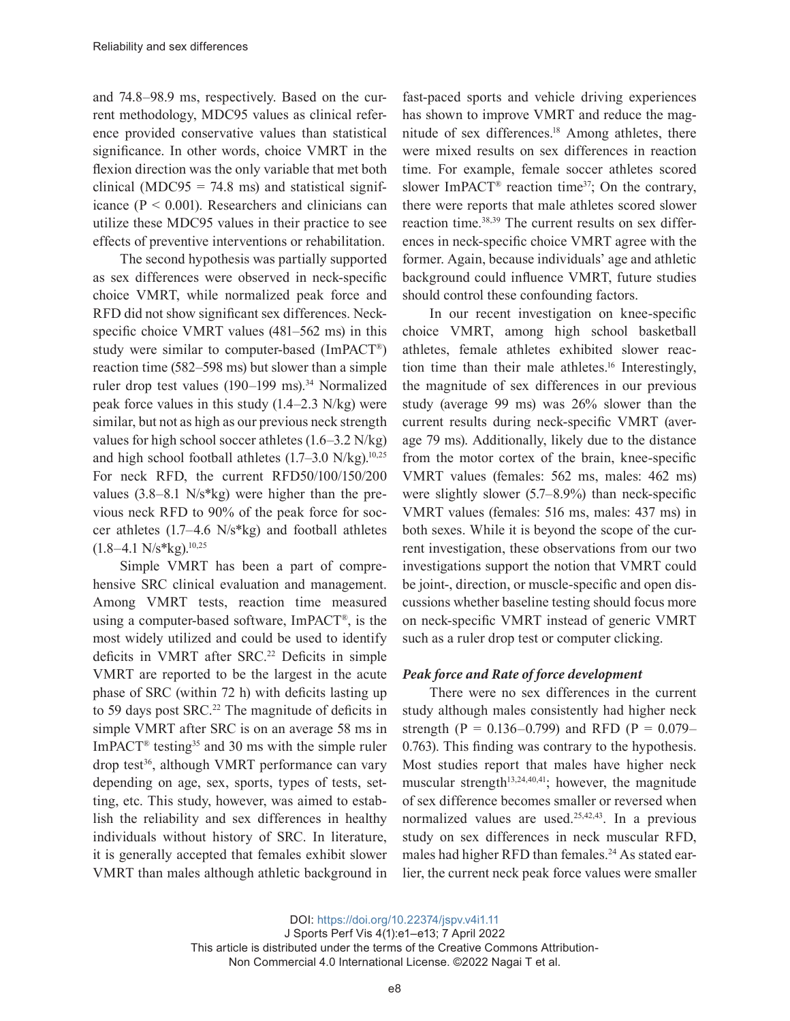and 74.8–98.9 ms, respectively. Based on the current methodology, MDC95 values as clinical reference provided conservative values than statistical significance. In other words, choice VMRT in the flexion direction was the only variable that met both clinical (MDC95 = 74.8 ms) and statistical significance (P < 0.001). Researchers and clinicians can utilize these MDC95 values in their practice to see effects of preventive interventions or rehabilitation.

The second hypothesis was partially supported as sex differences were observed in neck-specific choice VMRT, while normalized peak force and RFD did not show significant sex differences. Neckspecific choice VMRT values (481–562 ms) in this study were similar to computer-based (ImPACT®) reaction time (582–598 ms) but slower than a simple ruler drop test values (190–199 ms).<sup>34</sup> Normalized peak force values in this study (1.4–2.3 N/kg) were similar, but not as high as our previous neck strength values for high school soccer athletes (1.6–3.2 N/kg) and high school football athletes  $(1.7–3.0 \text{ N/kg})^{10,25}$ For neck RFD, the current RFD50/100/150/200 values (3.8–8.1 N/s\*kg) were higher than the previous neck RFD to 90% of the peak force for soccer athletes (1.7–4.6 N/s\*kg) and football athletes  $(1.8-4.1 \text{ N/s*kg})$ <sup>10,25</sup>

Simple VMRT has been a part of comprehensive SRC clinical evaluation and management. Among VMRT tests, reaction time measured using a computer-based software, ImPACT®, is the most widely utilized and could be used to identify deficits in VMRT after SRC.<sup>22</sup> Deficits in simple VMRT are reported to be the largest in the acute phase of SRC (within 72 h) with deficits lasting up to 59 days post SRC.<sup>22</sup> The magnitude of deficits in simple VMRT after SRC is on an average 58 ms in ImPACT<sup>®</sup> testing<sup>35</sup> and 30 ms with the simple ruler drop test<sup>36</sup>, although VMRT performance can vary depending on age, sex, sports, types of tests, setting, etc. This study, however, was aimed to establish the reliability and sex differences in healthy individuals without history of SRC. In literature, it is generally accepted that females exhibit slower VMRT than males although athletic background in

fast-paced sports and vehicle driving experiences has shown to improve VMRT and reduce the magnitude of sex differences.<sup>18</sup> Among athletes, there were mixed results on sex differences in reaction time. For example, female soccer athletes scored slower ImPACT<sup>®</sup> reaction time<sup>37</sup>; On the contrary, there were reports that male athletes scored slower reaction time.38,39 The current results on sex differences in neck-specific choice VMRT agree with the former. Again, because individuals' age and athletic background could influence VMRT, future studies should control these confounding factors.

In our recent investigation on knee-specific choice VMRT, among high school basketball athletes, female athletes exhibited slower reaction time than their male athletes.<sup>16</sup> Interestingly, the magnitude of sex differences in our previous study (average 99 ms) was 26% slower than the current results during neck-specific VMRT (average 79 ms). Additionally, likely due to the distance from the motor cortex of the brain, knee-specific VMRT values (females: 562 ms, males: 462 ms) were slightly slower (5.7–8.9%) than neck-specific VMRT values (females: 516 ms, males: 437 ms) in both sexes. While it is beyond the scope of the current investigation, these observations from our two investigations support the notion that VMRT could be joint-, direction, or muscle-specific and open discussions whether baseline testing should focus more on neck-specific VMRT instead of generic VMRT such as a ruler drop test or computer clicking.

# *Peak force and Rate of force development*

There were no sex differences in the current study although males consistently had higher neck strength (P =  $0.136 - 0.799$ ) and RFD (P =  $0.079 -$ 0.763). This finding was contrary to the hypothesis. Most studies report that males have higher neck muscular strength $13,24,40,41$ ; however, the magnitude of sex difference becomes smaller or reversed when normalized values are used.<sup>25,42,43</sup>. In a previous study on sex differences in neck muscular RFD, males had higher RFD than females.<sup>24</sup> As stated earlier, the current neck peak force values were smaller

DOI: <https://doi.org/10.22374/jspv.v4i1.11>

J Sports Perf Vis 4(1):e1–e13; 7 April 2022 This article is distributed under the terms of the Creative Commons Attribution-

Non Commercial 4.0 International License. ©2022 Nagai T et al.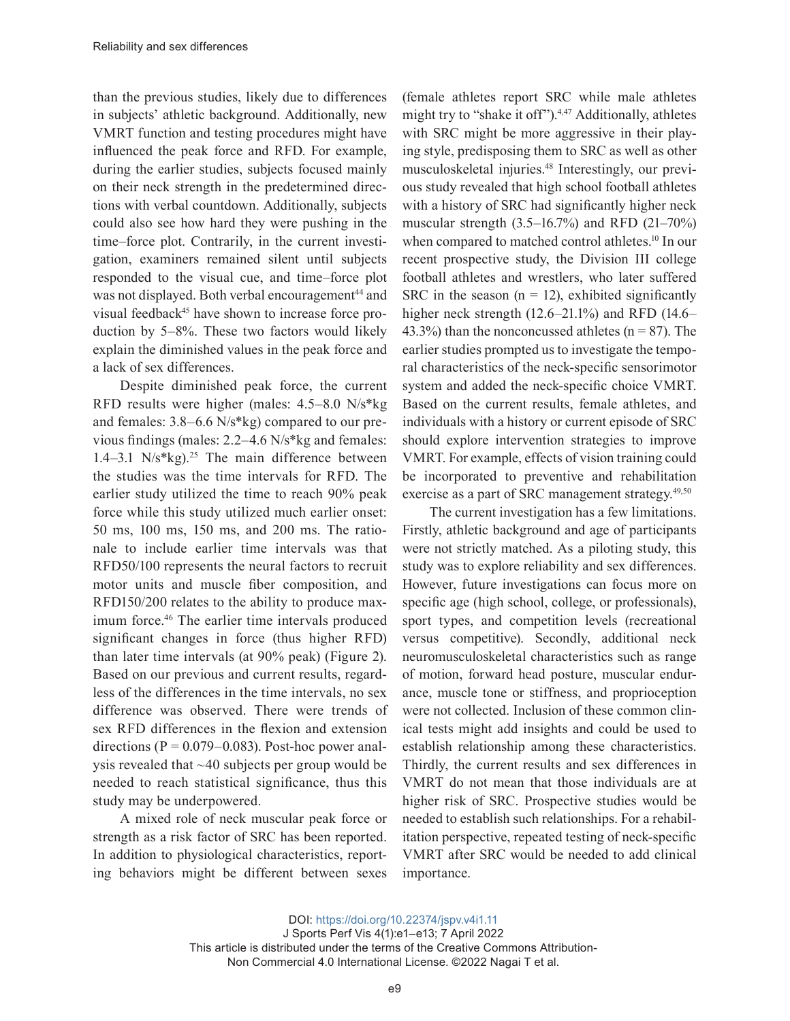than the previous studies, likely due to differences in subjects' athletic background. Additionally, new VMRT function and testing procedures might have influenced the peak force and RFD. For example, during the earlier studies, subjects focused mainly on their neck strength in the predetermined directions with verbal countdown. Additionally, subjects could also see how hard they were pushing in the time–force plot. Contrarily, in the current investigation, examiners remained silent until subjects responded to the visual cue, and time–force plot was not displayed. Both verbal encouragement<sup>44</sup> and visual feedback<sup>45</sup> have shown to increase force production by 5–8%. These two factors would likely explain the diminished values in the peak force and a lack of sex differences.

Despite diminished peak force, the current RFD results were higher (males: 4.5–8.0 N/s\*kg and females: 3.8–6.6 N/s\*kg) compared to our previous findings (males: 2.2–4.6 N/s\*kg and females: 1.4–3.1  $N/s$ <sup>\*</sup>kg).<sup>25</sup> The main difference between the studies was the time intervals for RFD. The earlier study utilized the time to reach 90% peak force while this study utilized much earlier onset: 50 ms, 100 ms, 150 ms, and 200 ms. The rationale to include earlier time intervals was that RFD50/100 represents the neural factors to recruit motor units and muscle fiber composition, and RFD150/200 relates to the ability to produce maximum force.<sup>46</sup> The earlier time intervals produced significant changes in force (thus higher RFD) than later time intervals (at 90% peak) (Figure 2). Based on our previous and current results, regardless of the differences in the time intervals, no sex difference was observed. There were trends of sex RFD differences in the flexion and extension directions ( $P = 0.079 - 0.083$ ). Post-hoc power analysis revealed that ~40 subjects per group would be needed to reach statistical significance, thus this study may be underpowered.

A mixed role of neck muscular peak force or strength as a risk factor of SRC has been reported. In addition to physiological characteristics, reporting behaviors might be different between sexes

(female athletes report SRC while male athletes might try to "shake it off").<sup>4,47</sup> Additionally, athletes with SRC might be more aggressive in their playing style, predisposing them to SRC as well as other musculoskeletal injuries.48 Interestingly, our previous study revealed that high school football athletes with a history of SRC had significantly higher neck muscular strength (3.5–16.7%) and RFD (21–70%) when compared to matched control athletes.<sup>10</sup> In our recent prospective study, the Division III college football athletes and wrestlers, who later suffered SRC in the season  $(n = 12)$ , exhibited significantly higher neck strength (12.6–21.1%) and RFD (14.6– 43.3%) than the nonconcussed athletes  $(n = 87)$ . The earlier studies prompted us to investigate the temporal characteristics of the neck-specific sensorimotor system and added the neck-specific choice VMRT. Based on the current results, female athletes, and individuals with a history or current episode of SRC should explore intervention strategies to improve VMRT. For example, effects of vision training could be incorporated to preventive and rehabilitation exercise as a part of SRC management strategy.<sup>49,50</sup>

The current investigation has a few limitations. Firstly, athletic background and age of participants were not strictly matched. As a piloting study, this study was to explore reliability and sex differences. However, future investigations can focus more on specific age (high school, college, or professionals), sport types, and competition levels (recreational versus competitive). Secondly, additional neck neuromusculoskeletal characteristics such as range of motion, forward head posture, muscular endurance, muscle tone or stiffness, and proprioception were not collected. Inclusion of these common clinical tests might add insights and could be used to establish relationship among these characteristics. Thirdly, the current results and sex differences in VMRT do not mean that those individuals are at higher risk of SRC. Prospective studies would be needed to establish such relationships. For a rehabilitation perspective, repeated testing of neck-specific VMRT after SRC would be needed to add clinical importance.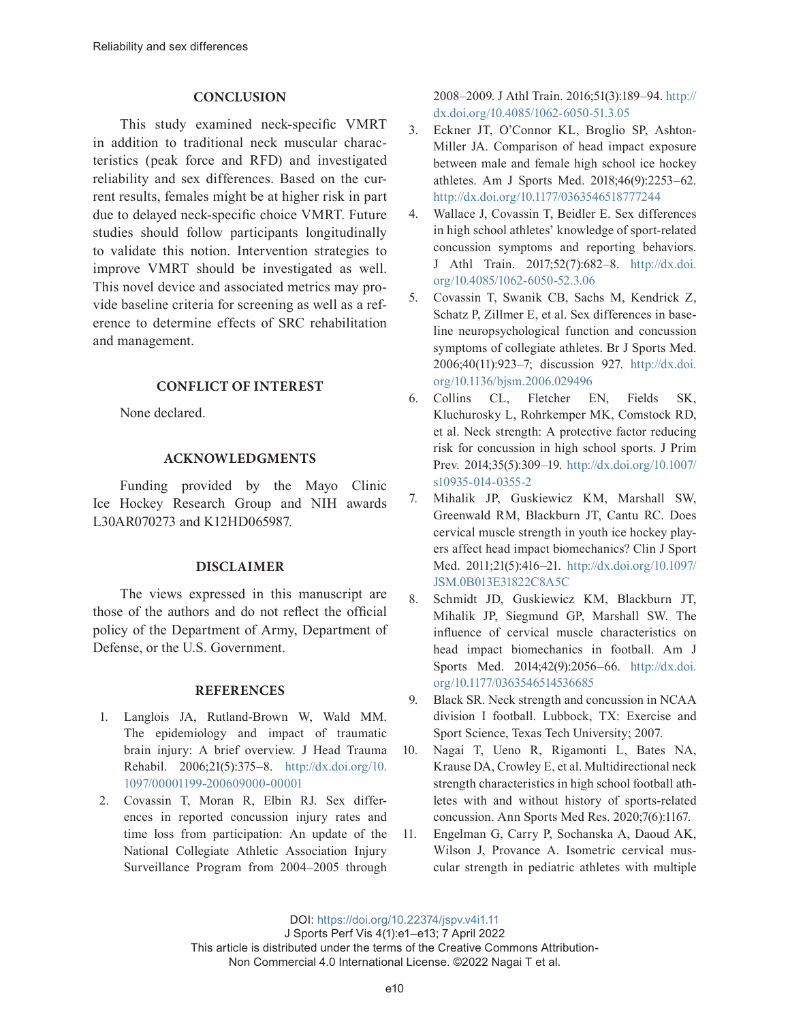#### **CONCLUSION**

This study examined neck-specific VMRT in addition to traditional neck muscular characteristics (peak force and RFD) and investigated reliability and sex differences. Based on the current results, females might be at higher risk in part due to delayed neck-specific choice VMRT. Future studies should follow participants longitudinally to validate this notion. Intervention strategies to improve VMRT should be investigated as well. This novel device and associated metrics may provide baseline criteria for screening as well as a reference to determine effects of SRC rehabilitation and management.

#### **CONFLICT OF INTEREST**

None declared.

#### **ACKNOWLEDGMENTS**

Funding provided by the Mayo Clinic Ice Hockey Research Group and NIH awards L30AR070273 and K12HD065987.

## **DISCLAIMER**

The views expressed in this manuscript are those of the authors and do not reflect the official policy of the Department of Army, Department of Defense, or the U.S. Government.

#### **REFERENCES**

- 1. Langlois JA, Rutland-Brown W, Wald MM. The epidemiology and impact of traumatic brain injury: A brief overview. J Head Trauma Rehabil. 2006;21(5):375–8. [http://dx.doi.org/10.](http://dx.doi.org/10.1097/00001199-200609000-00001) [1097/00001199-200609000-00001](http://dx.doi.org/10.1097/00001199-200609000-00001)
- 2. Covassin T, Moran R, Elbin RJ. Sex differences in reported concussion injury rates and time loss from participation: An update of the National Collegiate Athletic Association Injury Surveillance Program from 2004–2005 through

2008–2009. J Athl Train. 2016;51(3):189–94. [http://](http://dx.doi.org/10.4085/1062-6050-51.3.05) [dx.doi.org/10.4085/1062-6050-51.3.05](http://dx.doi.org/10.4085/1062-6050-51.3.05)

- 3. Eckner JT, O'Connor KL, Broglio SP, Ashton-Miller JA. Comparison of head impact exposure between male and female high school ice hockey athletes. Am J Sports Med. 2018;46(9):2253–62. <http://dx.doi.org/10.1177/0363546518777244>
- 4. Wallace J, Covassin T, Beidler E. Sex differences in high school athletes' knowledge of sport-related concussion symptoms and reporting behaviors. J Athl Train. 2017;52(7):682–8. [http://dx.doi.](http://dx.doi.org/10.4085/1062-6050-52.3.06) [org/10.4085/1062-6050-52.3.06](http://dx.doi.org/10.4085/1062-6050-52.3.06)
- 5. Covassin T, Swanik CB, Sachs M, Kendrick Z, Schatz P, Zillmer E, et al. Sex differences in baseline neuropsychological function and concussion symptoms of collegiate athletes. Br J Sports Med. 2006;40(11):923–7; discussion 927. [http://dx.doi.](http://dx.doi.org/10.1136/bjsm.2006.029496) [org/10.1136/bjsm.2006.029496](http://dx.doi.org/10.1136/bjsm.2006.029496)
- 6. Collins CL, Fletcher EN, Fields SK, Kluchurosky L, Rohrkemper MK, Comstock RD, et al. Neck strength: A protective factor reducing risk for concussion in high school sports. J Prim Prev. 2014;35(5):309–19. [http://dx.doi.org/10.1007/](http://dx.doi.org/10.1007/s10935-014-0355-2) [s10935-014-0355-2](http://dx.doi.org/10.1007/s10935-014-0355-2)
- 7. Mihalik JP, Guskiewicz KM, Marshall SW, Greenwald RM, Blackburn JT, Cantu RC. Does cervical muscle strength in youth ice hockey players affect head impact biomechanics? Clin J Sport Med. 2011;21(5):416–21. [http://dx.doi.org/10.1097/](http://dx.doi.org/10.1097/JSM.0B013E31822C8A5C) [JSM.0B013E31822C8A5C](http://dx.doi.org/10.1097/JSM.0B013E31822C8A5C)
- 8. Schmidt JD, Guskiewicz KM, Blackburn JT, Mihalik JP, Siegmund GP, Marshall SW. The influence of cervical muscle characteristics on head impact biomechanics in football. Am J Sports Med. 2014;42(9):2056–66. [http://dx.doi.](http://dx.doi.org/10.1177/0363546514536685) [org/10.1177/0363546514536685](http://dx.doi.org/10.1177/0363546514536685)
- 9. Black SR. Neck strength and concussion in NCAA division I football. Lubbock, TX: Exercise and Sport Science, Texas Tech University; 2007.
- 10. Nagai T, Ueno R, Rigamonti L, Bates NA, Krause DA, Crowley E, et al. Multidirectional neck strength characteristics in high school football athletes with and without history of sports-related concussion. Ann Sports Med Res. 2020;7(6):1167.
- 11. Engelman G, Carry P, Sochanska A, Daoud AK, Wilson J, Provance A. Isometric cervical muscular strength in pediatric athletes with multiple

DOI: <https://doi.org/10.22374/jspv.v4i1.11>

J Sports Perf Vis 4(1):e1–e13; 7 April 2022

This article is distributed under the terms of the Creative Commons Attribution-Non Commercial 4.0 International License. ©2022 Nagai T et al.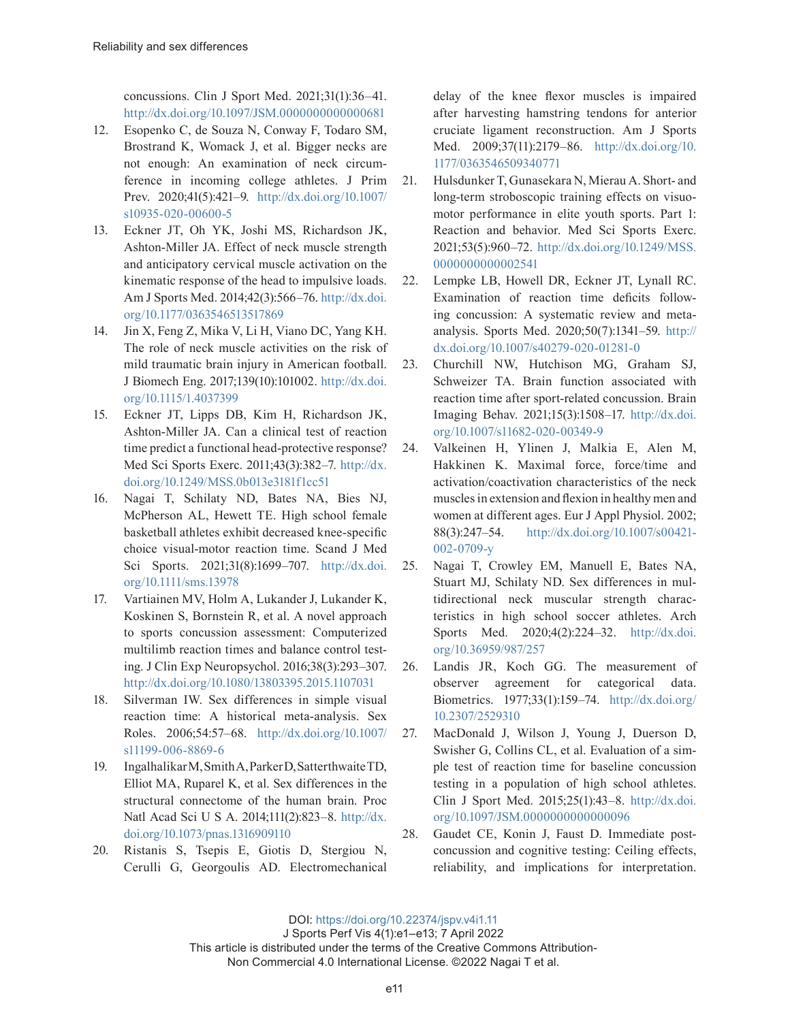concussions. Clin J Sport Med. 2021;31(1):36–41. <http://dx.doi.org/10.1097/JSM.0000000000000681>

- 12. Esopenko C, de Souza N, Conway F, Todaro SM, Brostrand K, Womack J, et al. Bigger necks are not enough: An examination of neck circumference in incoming college athletes. J Prim Prev. 2020;41(5):421–9. [http://dx.doi.org/10.1007/](http://dx.doi.org/10.1007/s10935-020-00600-5) [s10935-020-00600-5](http://dx.doi.org/10.1007/s10935-020-00600-5)
- 13. Eckner JT, Oh YK, Joshi MS, Richardson JK, Ashton-Miller JA. Effect of neck muscle strength and anticipatory cervical muscle activation on the kinematic response of the head to impulsive loads. Am J Sports Med. 2014;42(3):566–76. [http://dx.doi.](http://dx.doi.org/10.1177/0363546513517869) [org/10.1177/0363546513517869](http://dx.doi.org/10.1177/0363546513517869)
- 14. Jin X, Feng Z, Mika V, Li H, Viano DC, Yang KH. The role of neck muscle activities on the risk of mild traumatic brain injury in American football. J Biomech Eng. 2017;139(10):101002. [http://dx.doi.](http://dx.doi.org/10.1115/1.4037399) [org/10.1115/1.4037399](http://dx.doi.org/10.1115/1.4037399)
- 15. Eckner JT, Lipps DB, Kim H, Richardson JK, Ashton-Miller JA. Can a clinical test of reaction time predict a functional head-protective response? Med Sci Sports Exerc. 2011;43(3):382–7. [http://dx.](http://dx.doi.org/10.1249/MSS.0b013e3181f1cc51) [doi.org/10.1249/MSS.0b013e3181f1cc51](http://dx.doi.org/10.1249/MSS.0b013e3181f1cc51)
- 16. Nagai T, Schilaty ND, Bates NA, Bies NJ, McPherson AL, Hewett TE. High school female basketball athletes exhibit decreased knee-specific choice visual-motor reaction time. Scand J Med Sci Sports. 2021;31(8):1699–707. [http://dx.doi.](http://dx.doi.org/10.1111/sms.13978) [org/10.1111/sms.13978](http://dx.doi.org/10.1111/sms.13978)
- 17. Vartiainen MV, Holm A, Lukander J, Lukander K, Koskinen S, Bornstein R, et al. A novel approach to sports concussion assessment: Computerized multilimb reaction times and balance control testing. J Clin Exp Neuropsychol. 2016;38(3):293–307. <http://dx.doi.org/10.1080/13803395.2015.1107031>
- 18. Silverman IW. Sex differences in simple visual reaction time: A historical meta-analysis. Sex Roles. 2006;54:57–68. [http://dx.doi.org/10.1007/](http://dx.doi.org/10.1007/s11199-006-8869-6) [s11199-006-8869-6](http://dx.doi.org/10.1007/s11199-006-8869-6)
- 19. Ingalhalikar M, Smith A, Parker D, SatterthwaiteTD, Elliot MA, Ruparel K, et al. Sex differences in the structural connectome of the human brain. Proc Natl Acad Sci U S A. 2014;111(2):823–8. [http://dx.](http://dx.doi.org/10.1073/pnas.1316909110) [doi.org/10.1073/pnas.1316909110](http://dx.doi.org/10.1073/pnas.1316909110)
- 20. Ristanis S, Tsepis E, Giotis D, Stergiou N, Cerulli G, Georgoulis AD. Electromechanical

delay of the knee flexor muscles is impaired after harvesting hamstring tendons for anterior cruciate ligament reconstruction. Am J Sports Med. 2009;37(11):2179–86. [http://dx.doi.org/10.](http://dx.doi.org/10.1177/0363546509340771) [1177/0363546509340771](http://dx.doi.org/10.1177/0363546509340771)

- 21. Hulsdunker T, Gunasekara N, Mierau A. Short- and long-term stroboscopic training effects on visuomotor performance in elite youth sports. Part 1: Reaction and behavior. Med Sci Sports Exerc. 2021;53(5):960–72. [http://dx.doi.org/10.1249/MSS.](http://dx.doi.org/10.1249/MSS.0000000000002541) [0000000000002541](http://dx.doi.org/10.1249/MSS.0000000000002541)
- 22. Lempke LB, Howell DR, Eckner JT, Lynall RC. Examination of reaction time deficits following concussion: A systematic review and metaanalysis. Sports Med. 2020;50(7):1341–59. [http://](http://dx.doi.org/10.1007/s40279-020-01281-0) [dx.doi.org/10.1007/s40279-020-01281-0](http://dx.doi.org/10.1007/s40279-020-01281-0)
- 23. Churchill NW, Hutchison MG, Graham SJ, Schweizer TA. Brain function associated with reaction time after sport-related concussion. Brain Imaging Behav. 2021;15(3):1508–17. [http://dx.doi.](http://dx.doi.org/10.1007/s11682-020-00349-9) [org/10.1007/s11682-020-00349-9](http://dx.doi.org/10.1007/s11682-020-00349-9)
- 24. Valkeinen H, Ylinen J, Malkia E, Alen M, Hakkinen K. Maximal force, force/time and activation/coactivation characteristics of the neck muscles in extension and flexion in healthy men and women at different ages. Eur J Appl Physiol. 2002; 88(3):247–54. [http://dx.doi.org/10.1007/s00421-](http://dx.doi.org/10.1007/s00421-002-0709-y) [002-0709-y](http://dx.doi.org/10.1007/s00421-002-0709-y)
- 25. Nagai T, Crowley EM, Manuell E, Bates NA, Stuart MJ, Schilaty ND. Sex differences in multidirectional neck muscular strength characteristics in high school soccer athletes. Arch Sports Med. 2020;4(2):224–32. [http://dx.doi.](http://dx.doi.org/10.36959/987/257) [org/10.36959/987/257](http://dx.doi.org/10.36959/987/257)
- 26. Landis JR, Koch GG. The measurement of observer agreement for categorical data. Biometrics. 1977;33(1):159–74. [http://dx.doi.org/](http://dx.doi.org/10.2307/2529310) [10.2307/2529310](http://dx.doi.org/10.2307/2529310)
- 27. MacDonald J, Wilson J, Young J, Duerson D, Swisher G, Collins CL, et al. Evaluation of a simple test of reaction time for baseline concussion testing in a population of high school athletes. Clin J Sport Med. 2015;25(1):43–8. [http://dx.doi.](http://dx.doi.org/10.1097/JSM.0000000000000096) [org/10.1097/JSM.0000000000000096](http://dx.doi.org/10.1097/JSM.0000000000000096)
- 28. Gaudet CE, Konin J, Faust D. Immediate postconcussion and cognitive testing: Ceiling effects, reliability, and implications for interpretation.

DOI: <https://doi.org/10.22374/jspv.v4i1.11>

J Sports Perf Vis 4(1):e1–e13; 7 April 2022 This article is distributed under the terms of the Creative Commons Attribution-Non Commercial 4.0 International License. ©2022 Nagai T et al.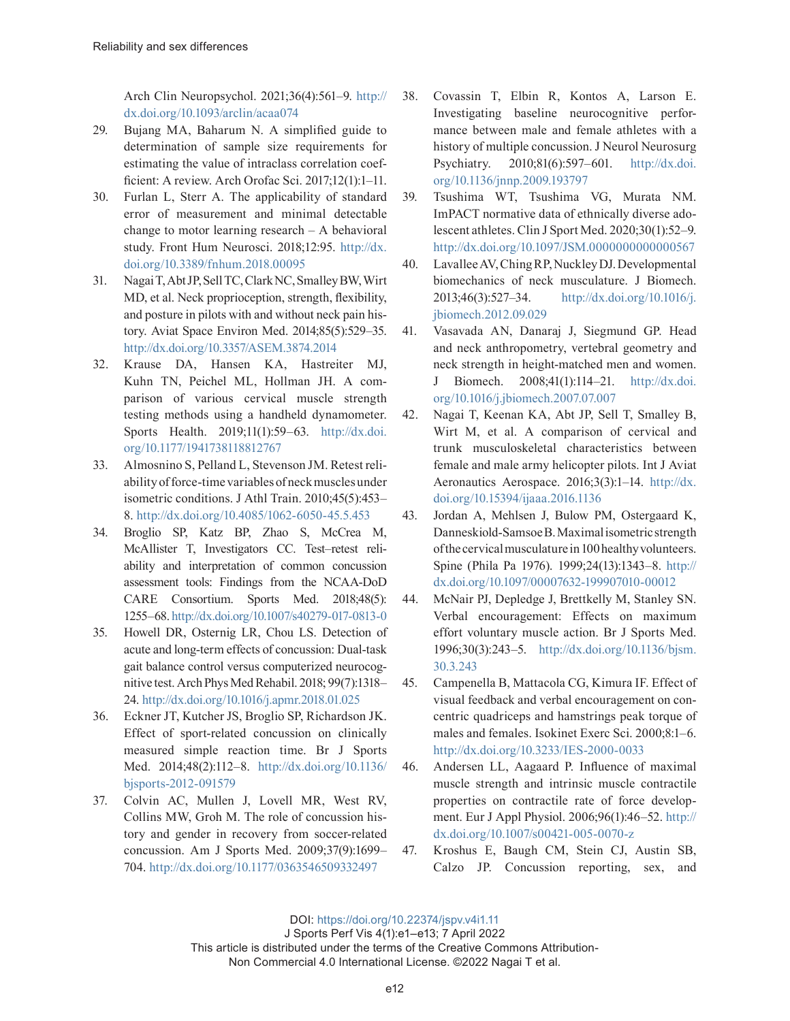Arch Clin Neuropsychol. 2021;36(4):561–9. [http://](http://dx.doi.org/10.1093/arclin/acaa074) [dx.doi.org/10.1093/arclin/acaa074](http://dx.doi.org/10.1093/arclin/acaa074)

- 29. Bujang MA, Baharum N. A simplified guide to determination of sample size requirements for estimating the value of intraclass correlation coefficient: A review. Arch Orofac Sci. 2017;12(1):1–11.
- 30. Furlan L, Sterr A. The applicability of standard error of measurement and minimal detectable change to motor learning research – A behavioral study. Front Hum Neurosci. 2018;12:95. [http://dx.](http://dx.doi.org/10.3389/fnhum.2018.00095) [doi.org/10.3389/fnhum.2018.00095](http://dx.doi.org/10.3389/fnhum.2018.00095)
- 31. Nagai T, Abt JP, Sell TC, Clark NC, Smalley BW, Wirt MD, et al. Neck proprioception, strength, flexibility, and posture in pilots with and without neck pain history. Aviat Space Environ Med. 2014;85(5):529–35. <http://dx.doi.org/10.3357/ASEM.3874.2014>
- 32. Krause DA, Hansen KA, Hastreiter MJ, Kuhn TN, Peichel ML, Hollman JH. A comparison of various cervical muscle strength testing methods using a handheld dynamometer. Sports Health. 2019;11(1):59–63. [http://dx.doi.](http://dx.doi.org/10.1177/1941738118812767) [org/10.1177/1941738118812767](http://dx.doi.org/10.1177/1941738118812767)
- 33. Almosnino S, Pelland L, Stevenson JM. Retest reliability of force-time variables of neck muscles under isometric conditions. J Athl Train. 2010;45(5):453– 8. <http://dx.doi.org/10.4085/1062-6050-45.5.453>
- 34. Broglio SP, Katz BP, Zhao S, McCrea M, McAllister T, Investigators CC. Test–retest reliability and interpretation of common concussion assessment tools: Findings from the NCAA-DoD CARE Consortium. Sports Med. 2018;48(5): 1255–68.<http://dx.doi.org/10.1007/s40279-017-0813-0>
- 35. Howell DR, Osternig LR, Chou LS. Detection of acute and long-term effects of concussion: Dual-task gait balance control versus computerized neurocognitive test. Arch Phys Med Rehabil. 2018; 99(7):1318– 24.<http://dx.doi.org/10.1016/j.apmr.2018.01.025>
- 36. Eckner JT, Kutcher JS, Broglio SP, Richardson JK. Effect of sport-related concussion on clinically measured simple reaction time. Br J Sports Med. 2014;48(2):112–8. [http://dx.doi.org/10.1136/](http://dx.doi.org/10.1136/bjsports-2012-091579) [bjsports-2012-091579](http://dx.doi.org/10.1136/bjsports-2012-091579)
- 37. Colvin AC, Mullen J, Lovell MR, West RV, Collins MW, Groh M. The role of concussion history and gender in recovery from soccer-related concussion. Am J Sports Med. 2009;37(9):1699– 704. <http://dx.doi.org/10.1177/0363546509332497>
- 38. Covassin T, Elbin R, Kontos A, Larson E. Investigating baseline neurocognitive performance between male and female athletes with a history of multiple concussion. J Neurol Neurosurg Psychiatry. 2010;81(6):597–601. [http://dx.doi.](http://dx.doi.org/10.1136/jnnp.2009.193797) [org/10.1136/jnnp.2009.193797](http://dx.doi.org/10.1136/jnnp.2009.193797)
- 39. Tsushima WT, Tsushima VG, Murata NM. ImPACT normative data of ethnically diverse adolescent athletes. Clin J Sport Med. 2020;30(1):52–9. <http://dx.doi.org/10.1097/JSM.0000000000000567>
- 40. Lavallee AV, Ching RP, Nuckley DJ. Developmental biomechanics of neck musculature. J Biomech. 2013;46(3):527–34. [http://dx.doi.org/10.1016/j.](http://dx.doi.org/10.1016/j.jbiomech.2012.09.029) [jbiomech.2012.09.029](http://dx.doi.org/10.1016/j.jbiomech.2012.09.029)
- 41. Vasavada AN, Danaraj J, Siegmund GP. Head and neck anthropometry, vertebral geometry and neck strength in height-matched men and women. J Biomech. 2008;41(1):114–21. [http://dx.doi.](http://dx.doi.org/10.1016/j.jbiomech.2007.07.007) [org/10.1016/j.jbiomech.2007.07.007](http://dx.doi.org/10.1016/j.jbiomech.2007.07.007)
- 42. Nagai T, Keenan KA, Abt JP, Sell T, Smalley B, Wirt M, et al. A comparison of cervical and trunk musculoskeletal characteristics between female and male army helicopter pilots. Int J Aviat Aeronautics Aerospace. 2016;3(3):1–14. [http://dx.](http://dx.doi.org/10.15394/ijaaa.2016.1136) [doi.org/10.15394/ijaaa.2016.1136](http://dx.doi.org/10.15394/ijaaa.2016.1136)
- 43. Jordan A, Mehlsen J, Bulow PM, Ostergaard K, Danneskiold-Samsoe B. Maximal isometric strength of the cervical musculature in 100 healthy volunteers. Spine (Phila Pa 1976). 1999;24(13):1343–8. [http://](http://dx.doi.org/10.1097/00007632-199907010-00012) [dx.doi.org/10.1097/00007632-199907010-00012](http://dx.doi.org/10.1097/00007632-199907010-00012)
- 44. McNair PJ, Depledge J, Brettkelly M, Stanley SN. Verbal encouragement: Effects on maximum effort voluntary muscle action. Br J Sports Med. 1996;30(3):243–5. [http://dx.doi.org/10.1136/bjsm.](http://dx.doi.org/10.1136/bjsm.30.3.243) [30.3.243](http://dx.doi.org/10.1136/bjsm.30.3.243)
- 45. Campenella B, Mattacola CG, Kimura IF. Effect of visual feedback and verbal encouragement on concentric quadriceps and hamstrings peak torque of males and females. Isokinet Exerc Sci. 2000;8:1–6. <http://dx.doi.org/10.3233/IES-2000-0033>
- 46. Andersen LL, Aagaard P. Influence of maximal muscle strength and intrinsic muscle contractile properties on contractile rate of force development. Eur J Appl Physiol. 2006;96(1):46–52. [http://](http://dx.doi.org/10.1007/s00421-005-0070-z) [dx.doi.org/10.1007/s00421-005-0070-z](http://dx.doi.org/10.1007/s00421-005-0070-z)
- 47. Kroshus E, Baugh CM, Stein CJ, Austin SB, Calzo JP. Concussion reporting, sex, and